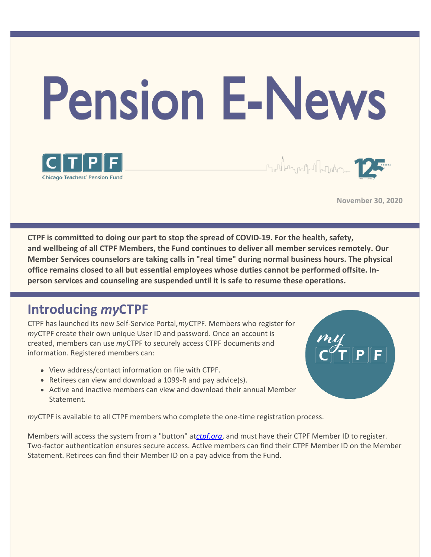

**November 30, 2020**

**CTPF is committed to doing our part to stop the spread of COVID-19. For the health, safety, and wellbeing of all CTPF Members, the Fund continues to deliver all member services remotely. Our Member Services counselors are taking calls in "real time" during normal business hours. The physical office remains closed to all but essential employees whose duties cannot be performed offsite. Inperson services and counseling are suspended until it is safe to resume these operations.**

### **Introducing** *my***CTPF**

CTPF has launched its new Self-Service Portal,*my*CTPF. Members who register for *my*CTPF create their own unique User ID and password. Once an account is created, members can use *my*CTPF to securely access CTPF documents and information. Registered members can:

- View address/contact information on file with CTPF.
- Retirees can view and download a 1099-R and pay advice(s).
- Active and inactive members can view and download their annual Member Statement.

*my*CTPF is available to all CTPF members who complete the one-time registration process.

Members will access the system from a "button" at*[ctpf.org](http://www.ctpf.org)*, and must have their CTPF Member ID to register. Two-factor authentication ensures secure access. Active members can find their CTPF Member ID on the Member Statement. Retirees can find their Member ID on a pay advice from the Fund.

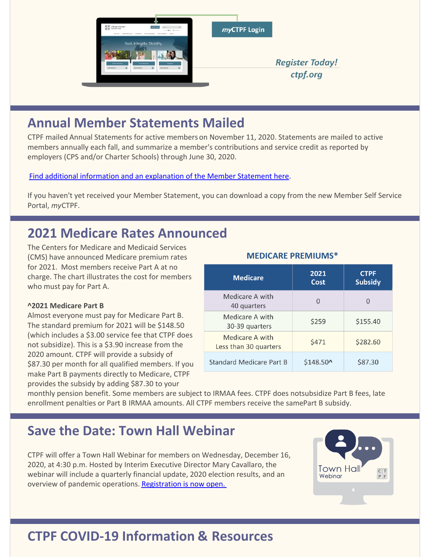

# **Annual Member Statements Mailed**

CTPF mailed Annual Statements for active members on November 11, 2020. Statements are mailed to active members annually each fall, and summarize a member's contributions and service credit as reported by employers (CPS and/or Charter Schools) through June 30, 2020.

[Find additional information and an explanation of the Member Statement here](https://www.ctpf.org/annual-member-statement).

If you haven't yet received your Member Statement, you can download a copy from the new Member Self Service Portal, *my*CTPF.

# **2021 Medicare Rates Announced**

The Centers for Medicare and Medicaid Services (CMS) have announced Medicare premium rates for 2021. Most members receive Part A at no charge. The chart illustrates the cost for members who must pay for Part A.

#### **^2021 Medicare Part B**

Almost everyone must pay for Medicare Part B. The standard premium for 2021 will be \$148.50 (which includes a \$3.00 service fee that CTPF does not subsidize). This is a \$3.90 increase from the 2020 amount. CTPF will provide a subsidy of \$87.30 per month for all qualified members. If you make Part B payments directly to Medicare, CTPF provides the subsidy by adding \$87.30 to your

#### **MEDICARE PREMIUMS\***

| <b>Medicare</b>                          | 2021<br>Cost      | <b>CTPF</b><br><b>Subsidy</b> |
|------------------------------------------|-------------------|-------------------------------|
| Medicare A with<br>40 quarters           | $\Omega$          |                               |
| Medicare A with<br>30-39 quarters        | \$259             | \$155.40                      |
| Medicare A with<br>Less than 30 quarters | \$471             | \$282.60                      |
| Standard Medicare Part B                 | $$148.50^{\circ}$ | \$87.30                       |

monthly pension benefit. Some members are subject to IRMAA fees. CTPF does not subsidize Part B fees, late enrollment penalties or Part B IRMAA amounts. All CTPF members receive the samePart B subsidy.

### **Save the Date: Town Hall Webinar**

CTPF will offer a Town Hall Webinar for members on Wednesday, December 16, 2020, at 4:30 p.m. Hosted by Interim Executive Director Mary Cavallaro, the webinar will include a quarterly financial update, 2020 election results, and an overview of pandemic operations. [Registration is now open.](https://ctpf.zoom.us/webinar/register/WN_rBz9ouPbTaaMRBxfU748Nw) 



# **CTPF COVID-19 Information & Resources**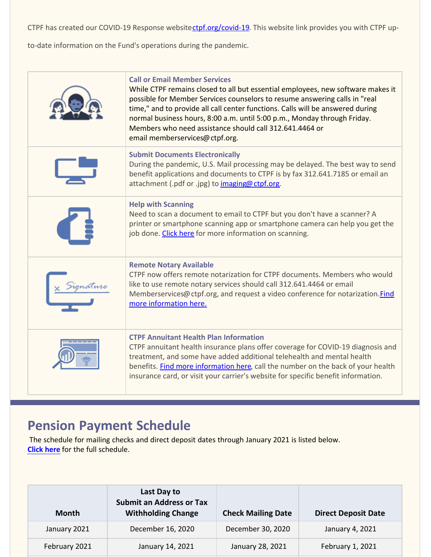CTPF has created our COVID-19 Response websitectpf.org/covid-19. This website link provides you with CTPF up-

to-date information on the Fund's operations during the pandemic.

| <b>Call or Email Member Services</b><br>While CTPF remains closed to all but essential employees, new software makes it<br>possible for Member Services counselors to resume answering calls in "real<br>time," and to provide all call center functions. Calls will be answered during<br>normal business hours, 8:00 a.m. until 5:00 p.m., Monday through Friday.<br>Members who need assistance should call 312.641.4464 or<br>email memberservices@ctpf.org. |
|------------------------------------------------------------------------------------------------------------------------------------------------------------------------------------------------------------------------------------------------------------------------------------------------------------------------------------------------------------------------------------------------------------------------------------------------------------------|
| <b>Submit Documents Electronically</b><br>During the pandemic, U.S. Mail processing may be delayed. The best way to send<br>benefit applications and documents to CTPF is by fax 312.641.7185 or email an<br>attachment (.pdf or .jpg) to imaging@ctpf.org.                                                                                                                                                                                                      |
| <b>Help with Scanning</b><br>Need to scan a document to email to CTPF but you don't have a scanner? A<br>printer or smartphone scanning app or smartphone camera can help you get the<br>job done. Click here for more information on scanning.                                                                                                                                                                                                                  |
| <b>Remote Notary Available</b><br>CTPF now offers remote notarization for CTPF documents. Members who would<br>like to use remote notary services should call 312.641.4464 or email<br>Memberservices@ctpf.org, and request a video conference for notarization.Find<br>more information here.                                                                                                                                                                   |
| <b>CTPF Annuitant Health Plan Information</b><br>CTPF annuitant health insurance plans offer coverage for COVID-19 diagnosis and<br>treatment, and some have added additional telehealth and mental health<br>benefits. Find more information here, call the number on the back of your health<br>insurance card, or visit your carrier's website for specific benefit information.                                                                              |

## **Pension Payment Schedule**

The schedule for mailing checks and direct deposit dates through January 2021 is listed below. **[Click here](https://www.ctpf.org/pension-payments)** for the full schedule.

| Month         | Last Day to<br><b>Submit an Address or Tax</b><br><b>Withholding Change</b> | <b>Check Mailing Date</b> | <b>Direct Deposit Date</b> |
|---------------|-----------------------------------------------------------------------------|---------------------------|----------------------------|
| January 2021  | December 16, 2020                                                           | December 30, 2020         | January 4, 2021            |
| February 2021 | January 14, 2021                                                            | January 28, 2021          | February 1, 2021           |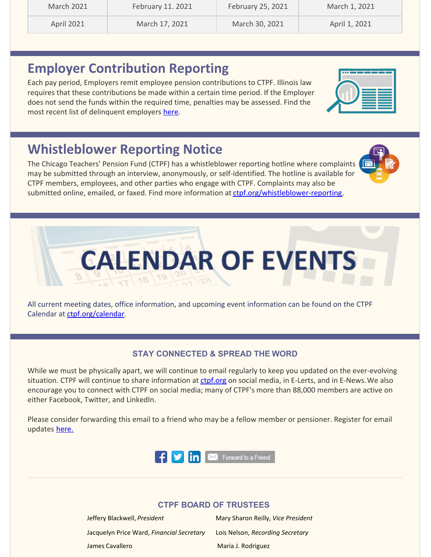| March 2021        | February 11. 2021 | February 25, 2021 | March 1, 2021 |
|-------------------|-------------------|-------------------|---------------|
| <b>April 2021</b> | March 17, 2021    | March 30, 2021    | April 1, 2021 |

### **Employer Contribution Reporting**

Each pay period, Employers remit employee pension contributions to CTPF. Illinois law requires that these contributions be made within a certain time period. If the Employer does not send the funds within the required time, penalties may be assessed. Find the most recent list of delinquent employers [here](http://ctpf.org/employer-contribution-reporting).

# **Whistleblower Reporting Notice**

The Chicago Teachers' Pension Fund (CTPF) has a whistleblower reporting hotline where complaints may be submitted through an interview, anonymously, or self-identified. The hotline is available for CTPF members, employees, and other parties who engage with CTPF. Complaints may also be submitted online, emailed, or faxed. Find more information at [ctpf.org/whistleblower-reporting](http://ctpf.org/whistleblower-reporting).

All current meeting dates, office information, and upcoming event information can be found on the CTPF Calendar at [ctpf.org/calendar](http://www.ctpf.org/calendar).

#### **STAY CONNECTED & SPREAD THE WORD**

While we must be physically apart, we will continue to email regularly to keep you updated on the ever-evolving situation. CTPF will continue to share information at [ctpf.org](http://ctpf.org) on social media, in E-Lerts, and in E-News. We also encourage you to connect with CTPF on social media; many of CTPF's more than 88,000 members are active on either Facebook, Twitter, and LinkedIn.

Please consider forwarding this email to a friend who may be a fellow member or pensioner. Register for email updates [here.](https://www.ctpf.org/)



#### **CTPF BOARD OF TRUSTEES**

Jeffery Blackwell, *President* Mary Sharon Reilly, *Vice President* Jacquelyn Price Ward, *Financial Secretary* Lois Nelson, *Recording Secretary* James Cavallero **Maria J. Rodriguez** Maria J. Rodriguez